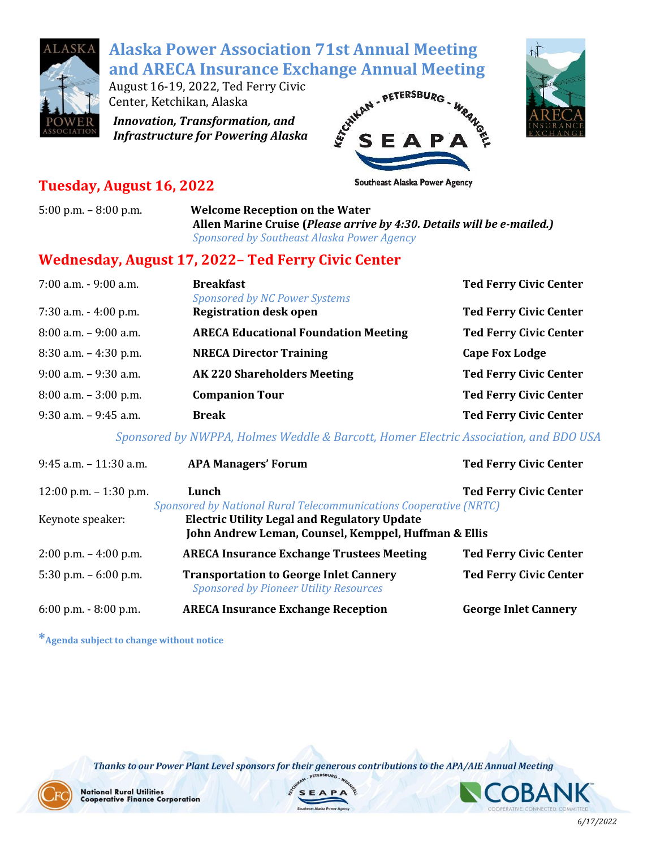

# **Alaska Power Association 71st Annual Meeting**

August 16-19, 2022, Ted Ferry Civic Center, Ketchikan, Alaska

*Innovation, Transformation, and Infrastructure for Powering Alaska*





### **Tuesday, August 16, 2022**

5:00 p.m. – 8:00 p.m. **Welcome Reception on the Water Allen Marine Cruise (***Please arrive by 4:30. Details will be e-mailed.) Sponsored by Southeast Alaska Power Agency* 

#### **Wednesday, August 17, 2022– Ted Ferry Civic Center**

| 7:00 a.m. - 9:00 a.m.    | <b>Breakfast</b><br><b>Sponsored by NC Power Systems</b> | <b>Ted Ferry Civic Center</b> |
|--------------------------|----------------------------------------------------------|-------------------------------|
| $7:30$ a.m. $-4:00$ p.m. | <b>Registration desk open</b>                            | <b>Ted Ferry Civic Center</b> |
| $8:00$ a.m. $-9:00$ a.m. | <b>ARECA Educational Foundation Meeting</b>              | <b>Ted Ferry Civic Center</b> |
| $8:30$ a.m. $-4:30$ p.m. | <b>NRECA Director Training</b>                           | <b>Cape Fox Lodge</b>         |
| $9:00$ a.m. $-9:30$ a.m. | <b>AK220 Shareholders Meeting</b>                        | <b>Ted Ferry Civic Center</b> |
| $8:00$ a.m. $-3:00$ p.m. | <b>Companion Tour</b>                                    | <b>Ted Ferry Civic Center</b> |
| $9:30$ a.m. $-9:45$ a.m. | <b>Break</b>                                             | <b>Ted Ferry Civic Center</b> |

*Sponsored by NWPPA, Holmes Weddle & Barcott, Homer Electric Association, and BDO USA*

| $9:45$ a.m. $-11:30$ a.m. | <b>APA Managers' Forum</b>                                                                                  | <b>Ted Ferry Civic Center</b> |  |
|---------------------------|-------------------------------------------------------------------------------------------------------------|-------------------------------|--|
| $12:00$ p.m. $-1:30$ p.m. | Lunch<br><b>Sponsored by National Rural Telecommunications Cooperative (NRTC)</b>                           | <b>Ted Ferry Civic Center</b> |  |
| Keynote speaker:          | <b>Electric Utility Legal and Regulatory Update</b><br>John Andrew Leman, Counsel, Kemppel, Huffman & Ellis |                               |  |
| $2:00$ p.m. $-4:00$ p.m.  | <b>ARECA Insurance Exchange Trustees Meeting</b>                                                            | <b>Ted Ferry Civic Center</b> |  |
| 5:30 p.m. $-6:00$ p.m.    | <b>Transportation to George Inlet Cannery</b><br><b>Sponsored by Pioneer Utility Resources</b>              | <b>Ted Ferry Civic Center</b> |  |
| $6:00$ p.m. $-8:00$ p.m.  | <b>ARECA Insurance Exchange Reception</b>                                                                   | <b>George Inlet Cannery</b>   |  |

**\*Agenda subject to change without notice**

Thanks to our Power Plant Level sponsors for their generous contributions to the APA/AIE Annual Meeting



**National Rural Utilities Cooperative Finance Corporation** 



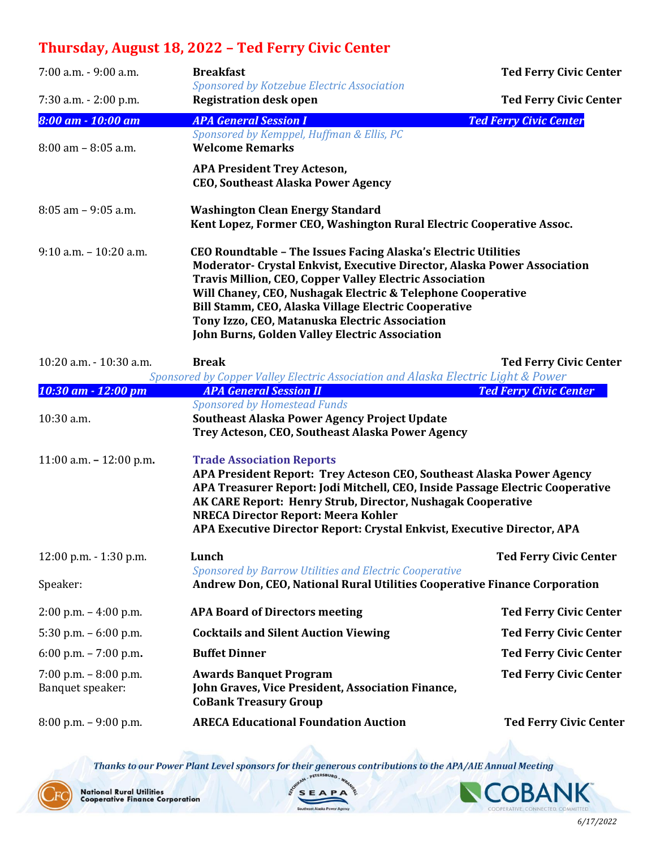## **Thursday, August 18, 2022 – Ted Ferry Civic Center**

| 7:00 a.m. - 9:00 a.m.                      | <b>Breakfast</b>                                                                                                                                                                                                                                                                                                                                                                                                                        | <b>Ted Ferry Civic Center</b> |
|--------------------------------------------|-----------------------------------------------------------------------------------------------------------------------------------------------------------------------------------------------------------------------------------------------------------------------------------------------------------------------------------------------------------------------------------------------------------------------------------------|-------------------------------|
| 7:30 a.m. - 2:00 p.m.                      | Sponsored by Kotzebue Electric Association<br><b>Registration desk open</b>                                                                                                                                                                                                                                                                                                                                                             | <b>Ted Ferry Civic Center</b> |
| 8:00 am - 10:00 am                         | <b>APA General Session I</b>                                                                                                                                                                                                                                                                                                                                                                                                            | <b>Ted Ferry Civic Center</b> |
| $8:00$ am $- 8:05$ a.m.                    | Sponsored by Kemppel, Huffman & Ellis, PC<br><b>Welcome Remarks</b>                                                                                                                                                                                                                                                                                                                                                                     |                               |
|                                            | <b>APA President Trey Acteson,</b><br><b>CEO, Southeast Alaska Power Agency</b>                                                                                                                                                                                                                                                                                                                                                         |                               |
| $8:05$ am $-9:05$ a.m.                     | <b>Washington Clean Energy Standard</b><br>Kent Lopez, Former CEO, Washington Rural Electric Cooperative Assoc.                                                                                                                                                                                                                                                                                                                         |                               |
| $9:10$ a.m. $-10:20$ a.m.                  | CEO Roundtable - The Issues Facing Alaska's Electric Utilities<br>Moderator- Crystal Enkvist, Executive Director, Alaska Power Association<br><b>Travis Million, CEO, Copper Valley Electric Association</b><br>Will Chaney, CEO, Nushagak Electric & Telephone Cooperative<br>Bill Stamm, CEO, Alaska Village Electric Cooperative<br>Tony Izzo, CEO, Matanuska Electric Association<br>John Burns, Golden Valley Electric Association |                               |
| 10:20 a.m. - 10:30 a.m.                    | <b>Break</b><br>Sponsored by Copper Valley Electric Association and Alaska Electric Light & Power                                                                                                                                                                                                                                                                                                                                       | <b>Ted Ferry Civic Center</b> |
| 10:30 am - 12:00 pm                        | <b>APA General Session II</b>                                                                                                                                                                                                                                                                                                                                                                                                           | <b>Ted Ferry Civic Center</b> |
| 10:30 a.m.                                 | <b>Sponsored by Homestead Funds</b><br>Southeast Alaska Power Agency Project Update<br>Trey Acteson, CEO, Southeast Alaska Power Agency                                                                                                                                                                                                                                                                                                 |                               |
| 11:00 a.m. $- 12:00$ p.m.                  | <b>Trade Association Reports</b><br>APA President Report: Trey Acteson CEO, Southeast Alaska Power Agency<br>APA Treasurer Report: Jodi Mitchell, CEO, Inside Passage Electric Cooperative<br>AK CARE Report: Henry Strub, Director, Nushagak Cooperative<br><b>NRECA Director Report: Meera Kohler</b><br>APA Executive Director Report: Crystal Enkvist, Executive Director, APA                                                      |                               |
| $12:00$ p.m. $-1:30$ p.m.                  | Lunch                                                                                                                                                                                                                                                                                                                                                                                                                                   | <b>Ted Ferry Civic Center</b> |
| Speaker:                                   | <b>Sponsored by Barrow Utilities and Electric Cooperative</b><br>Andrew Don, CEO, National Rural Utilities Cooperative Finance Corporation                                                                                                                                                                                                                                                                                              |                               |
| $2:00$ p.m. $-4:00$ p.m.                   | <b>APA Board of Directors meeting</b>                                                                                                                                                                                                                                                                                                                                                                                                   | <b>Ted Ferry Civic Center</b> |
| 5:30 p.m. $-6:00$ p.m.                     | <b>Cocktails and Silent Auction Viewing</b>                                                                                                                                                                                                                                                                                                                                                                                             | <b>Ted Ferry Civic Center</b> |
| 6:00 p.m. $- 7:00$ p.m.                    | <b>Buffet Dinner</b>                                                                                                                                                                                                                                                                                                                                                                                                                    | <b>Ted Ferry Civic Center</b> |
| 7:00 p.m. $-8:00$ p.m.<br>Banquet speaker: | <b>Awards Banquet Program</b><br>John Graves, Vice President, Association Finance,<br><b>CoBank Treasury Group</b>                                                                                                                                                                                                                                                                                                                      | <b>Ted Ferry Civic Center</b> |
| $8:00$ p.m. $-9:00$ p.m.                   | <b>ARECA Educational Foundation Auction</b>                                                                                                                                                                                                                                                                                                                                                                                             | <b>Ted Ferry Civic Center</b> |

Thanks to our Power Plant Level sponsors for their generous contributions to the APA/AIE Annual Meeting



**OBAN** IΚ COOPERATIVE, CONNECTED, COMMITTED.